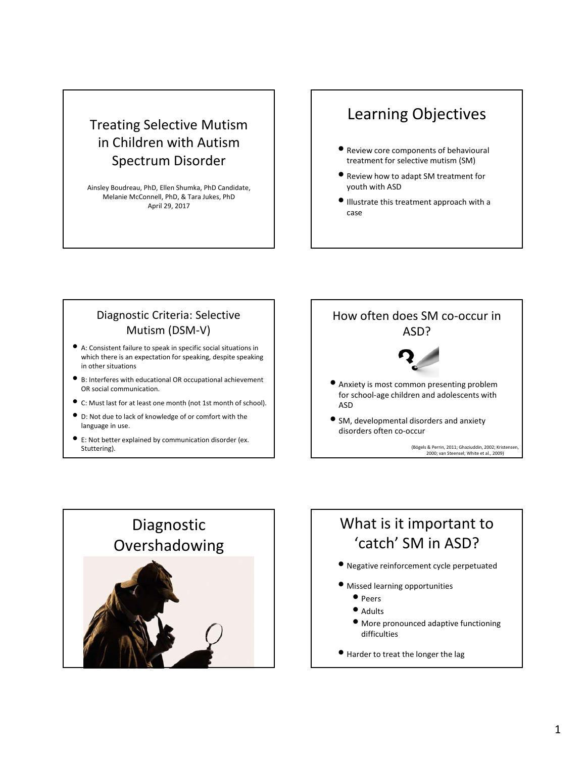#### Treating Selective Mutism in Children with Autism Spectrum Disorder

Ainsley Boudreau, PhD, Ellen Shumka, PhD Candidate, Melanie McConnell, PhD, & Tara Jukes, PhD April 29, 2017

### Learning Objectives

- Review core components of behavioural treatment for selective mutism (SM)
- Review how to adapt SM treatment for youth with ASD
- Illustrate this treatment approach with <sup>a</sup> case

#### Diagnostic Criteria: Selective Mutism (DSM‐V)

- A: Consistent failure to speak in specific social situations in which there is an expectation for speaking, despite speaking in other situations
- B: Interferes with educational OR occupational achievement OR social communication.
- C: Must last for at least one month (not 1st month of school).
- D: Not due to lack of knowledge of or comfort with the language in use.
- E: Not better explained by communication disorder (ex. Stuttering).



(Bögels & Perrin, 2011; Ghaziuddin, 2002; Kristensen, 2000; van Steensel; White et al., 2009)



### What is it important to 'catch' SM in ASD?

- Negative reinforcement cycle perpetuated
- Missed learning opportunities
	- Peers
	- Adults
	- More pronounced adaptive functioning difficulties
- Harder to treat the longer the lag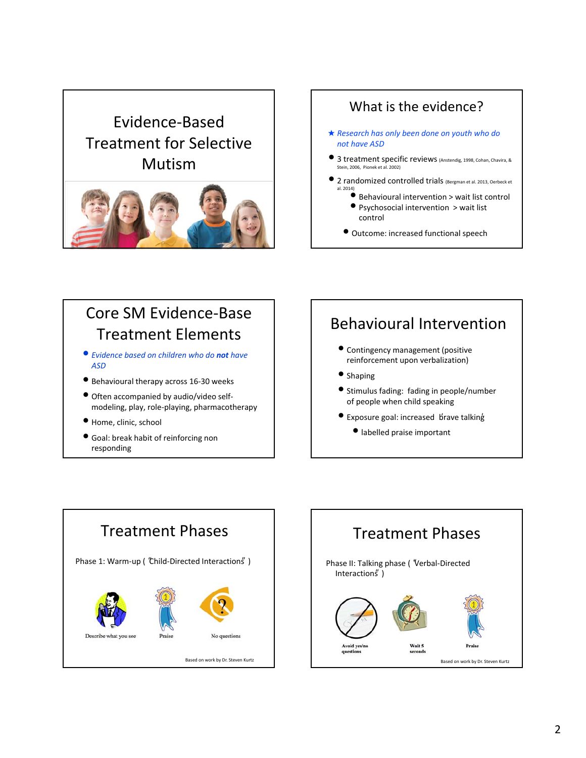# Evidence‐Based Treatment for Selective Mutism



#### What is the evidence? ★ *Research has only been done on youth who do not have ASD* • <sup>3</sup> treatment specific reviews (Anstendig, 1998, Cohan, Chavira, & Stein, 2006, Pionek et al. 2002) • <sup>2</sup> randomized controlled trials (Bergman et al. 2013, Oerbeck et al. 2014) • Behavioural intervention <sup>&</sup>gt; wait list control • Psychosocial intervention <sup>&</sup>gt; wait list control • Outcome: increased functional speech

## Core SM Evidence‐Base Treatment Elements

- *Evidence based on children who do not have ASD*
- Behavioural therapy across <sup>16</sup>‐<sup>30</sup> weeks
- Often accompanied by audio/video self‐ modeling, play, role‐playing, pharmacotherapy
- Home, clinic, school
- Goal: break habit of reinforcing non responding

## Behavioural Intervention

- Contingency management (positive reinforcement upon verbalization)
- Shaping
- Stimulus fading: fading in people/number of people when child speaking
- Exposure goal: increased brave talking
	- labelled praise important



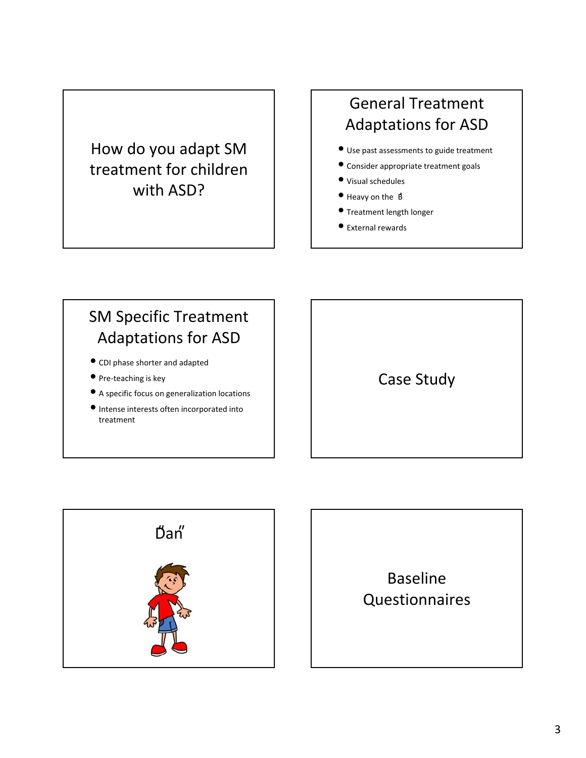## How do you adapt SM treatment for children with ASD?

## General Treatment Adaptations for ASD

- Use past assessments to guide treatment
- Consider appropriate treatment goals
- Visual schedules
- Heavy on the  $\beta$
- Treatment length longer
- External rewards

## SM Specific Treatment Adaptations for ASD

- CDI phase shorter and adapted
- Pre-teaching is key
- <sup>A</sup> specific focus on generalization locations
- Intense interests often incorporated into treatment





Baseline Questionnaires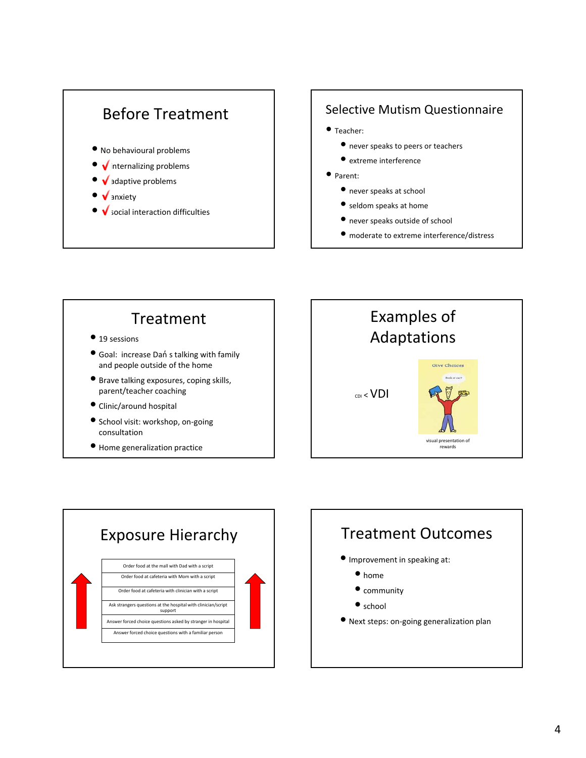

#### Selective Mutism Questionnaire

- Teacher:
	- never speaks to peers or teachers
	- extreme interference
- Parent:
	- never speaks at school
	- seldom speaks at home
	- never speaks outside of school
	- moderate to extreme interference/distress

## Treatment

- 19 sessions
- **•** Goal: increase Dań s talking with family and people outside of the home
- Brave talking exposures, coping skills, parent/teacher coaching
- Clinic/around hospital
- School visit: workshop, on‐going consultation
- 





## Treatment Outcomes

- Improvement in speaking at:
	- home
	- $\bullet$  community
	- school
- Next steps: on‐going generalization plan